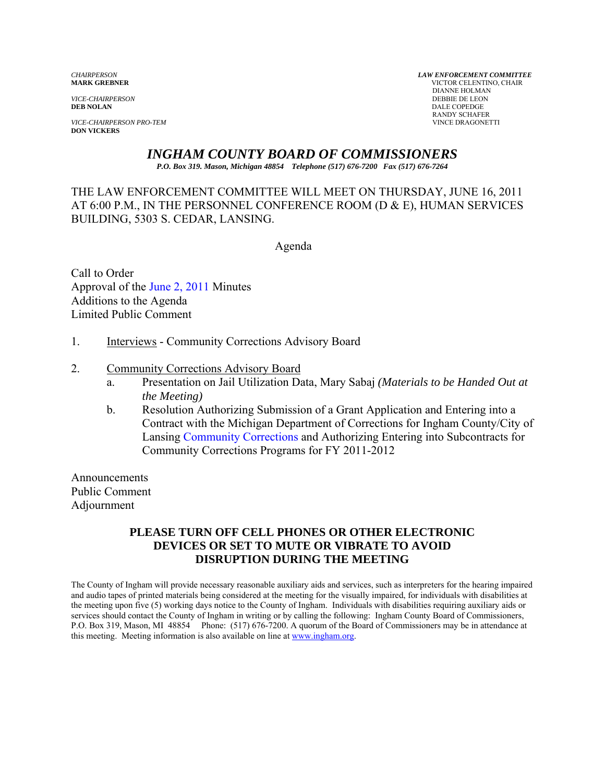*VICE-CHAIRPERSON*<br>**DEB NOLAN** 

**VICE-CHAIRPERSON PRO-TEM DON VICKERS** 

*CHAIRPERSON LAW ENFORCEMENT COMMITTEE* **MARK GREBNER** VICTOR CELENTINO, CHAIR **DIANNE HOLMAN<br>DEBBIE DE LEON DALE COPEDGE** RANDY SCHAFER<br>VINCE DRAGONETTI

# *INGHAM COUNTY BOARD OF COMMISSIONERS*

*P.O. Box 319. Mason, Michigan 48854 Telephone (517) 676-7200 Fax (517) 676-7264*

THE LAW ENFORCEMENT COMMITTEE WILL MEET ON THURSDAY, JUNE 16, 2011 AT 6:00 P.M., IN THE PERSONNEL CONFERENCE ROOM (D & E), HUMAN SERVICES BUILDING, 5303 S. CEDAR, LANSING.

Agenda

Call to Order Approval [of the June 2, 2011 Minutes](#page-1-0)  Additions to the Agenda Limited Public Comment

1. Interviews - Community Corrections Advisory Board

#### 2. Community Corrections Advisory Board

- a. Presentation on Jail Utilization Data, Mary Sabaj *(Materials to be Handed Out at the Meeting)*
- b. Resolution Authorizing Submission of a Grant Application and Entering into a Contract with the Michigan Department of Corrections for Ingham County/City of Lan[sing Community Corrections and Authorizing](#page-4-0) Entering into Subcontracts for Community Corrections Programs for FY 2011-2012

Announcements Public Comment Adjournment

#### **PLEASE TURN OFF CELL PHONES OR OTHER ELECTRONIC DEVICES OR SET TO MUTE OR VIBRATE TO AVOID DISRUPTION DURING THE MEETING**

The County of Ingham will provide necessary reasonable auxiliary aids and services, such as interpreters for the hearing impaired and audio tapes of printed materials being considered at the meeting for the visually impaired, for individuals with disabilities at the meeting upon five (5) working days notice to the County of Ingham. Individuals with disabilities requiring auxiliary aids or services should contact the County of Ingham in writing or by calling the following: Ingham County Board of Commissioners, P.O. Box 319, Mason, MI 48854 Phone: (517) 676-7200. A quorum of the Board of Commissioners may be in attendance at this meeting. Meeting information is also available on line at www.ingham.org.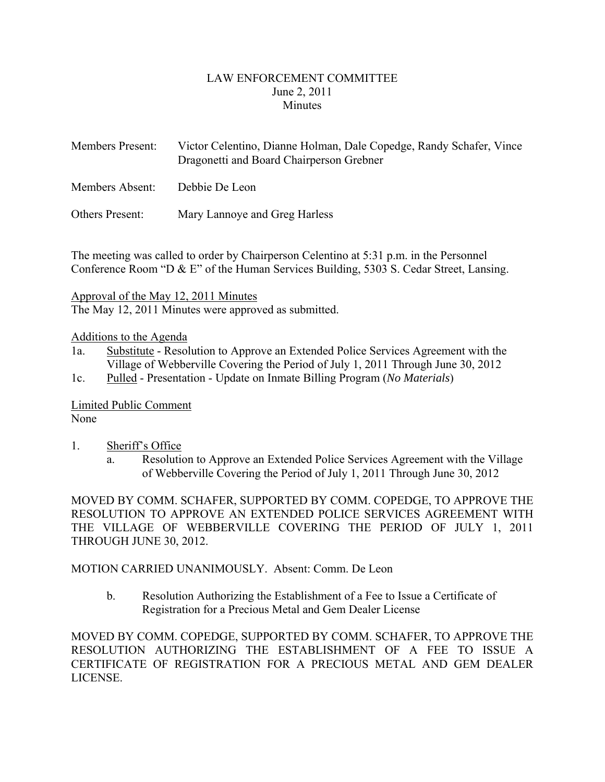#### LAW ENFORCEMENT COMMITTEE June 2, 2011 **Minutes**

<span id="page-1-0"></span>

| <b>Members Present:</b> | Victor Celentino, Dianne Holman, Dale Copedge, Randy Schafer, Vince |
|-------------------------|---------------------------------------------------------------------|
|                         | Dragonetti and Board Chairperson Grebner                            |

Members Absent: Debbie De Leon

Others Present: Mary Lannoye and Greg Harless

The meeting was called to order by Chairperson Celentino at 5:31 p.m. in the Personnel Conference Room "D & E" of the Human Services Building, 5303 S. Cedar Street, Lansing.

Approval of the May 12, 2011 Minutes

The May 12, 2011 Minutes were approved as submitted.

#### Additions to the Agenda

- 1a. Substitute Resolution to Approve an Extended Police Services Agreement with the Village of Webberville Covering the Period of July 1, 2011 Through June 30, 2012
- 1c. Pulled Presentation Update on Inmate Billing Program (*No Materials*)

Limited Public Comment None

- 1. Sheriff's Office
	- a. Resolution to Approve an Extended Police Services Agreement with the Village of Webberville Covering the Period of July 1, 2011 Through June 30, 2012

MOVED BY COMM. SCHAFER, SUPPORTED BY COMM. COPEDGE, TO APPROVE THE RESOLUTION TO APPROVE AN EXTENDED POLICE SERVICES AGREEMENT WITH THE VILLAGE OF WEBBERVILLE COVERING THE PERIOD OF JULY 1, 2011 THROUGH JUNE 30, 2012.

MOTION CARRIED UNANIMOUSLY. Absent: Comm. De Leon

b. Resolution Authorizing the Establishment of a Fee to Issue a Certificate of Registration for a Precious Metal and Gem Dealer License

MOVED BY COMM. COPEDGE, SUPPORTED BY COMM. SCHAFER, TO APPROVE THE RESOLUTION AUTHORIZING THE ESTABLISHMENT OF A FEE TO ISSUE A CERTIFICATE OF REGISTRATION FOR A PRECIOUS METAL AND GEM DEALER LICENSE.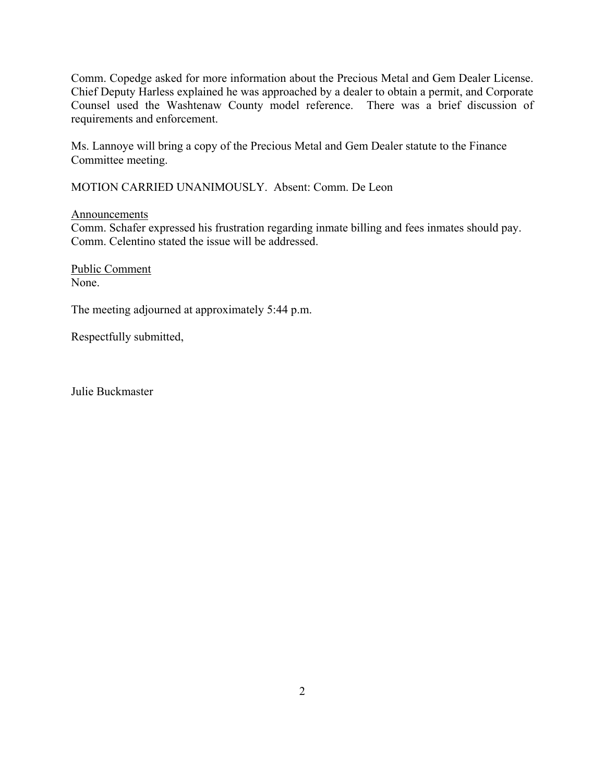Comm. Copedge asked for more information about the Precious Metal and Gem Dealer License. Chief Deputy Harless explained he was approached by a dealer to obtain a permit, and Corporate Counsel used the Washtenaw County model reference. There was a brief discussion of requirements and enforcement.

Ms. Lannoye will bring a copy of the Precious Metal and Gem Dealer statute to the Finance Committee meeting.

MOTION CARRIED UNANIMOUSLY. Absent: Comm. De Leon

Announcements

Comm. Schafer expressed his frustration regarding inmate billing and fees inmates should pay. Comm. Celentino stated the issue will be addressed.

Public Comment None.

The meeting adjourned at approximately 5:44 p.m.

Respectfully submitted,

Julie Buckmaster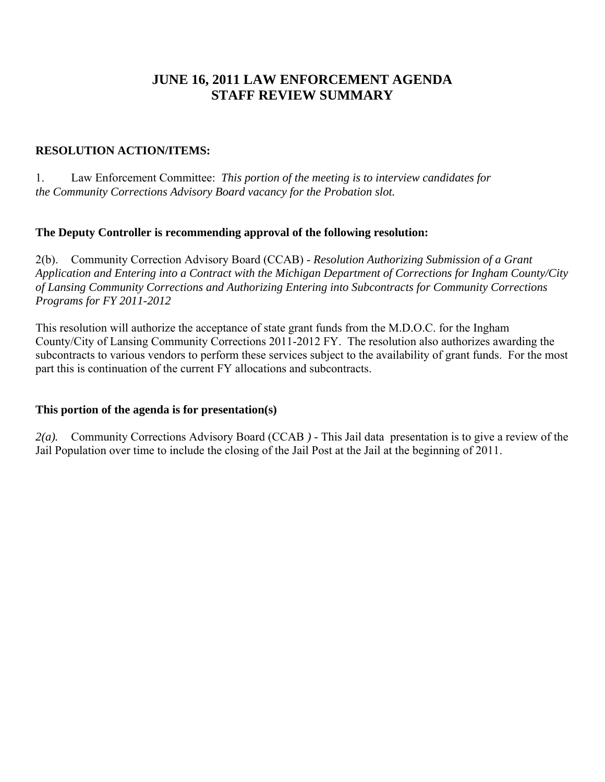# **JUNE 16, 2011 LAW ENFORCEMENT AGENDA STAFF REVIEW SUMMARY**

#### **RESOLUTION ACTION/ITEMS:**

1. Law Enforcement Committee: *This portion of the meeting is to interview candidates for the Community Corrections Advisory Board vacancy for the Probation slot.* 

#### **The Deputy Controller is recommending approval of the following resolution:**

2(b). Community Correction Advisory Board (CCAB) - *Resolution Authorizing Submission of a Grant Application and Entering into a Contract with the Michigan Department of Corrections for Ingham County/City of Lansing Community Corrections and Authorizing Entering into Subcontracts for Community Corrections Programs for FY 2011-2012* 

This resolution will authorize the acceptance of state grant funds from the M.D.O.C. for the Ingham County/City of Lansing Community Corrections 2011-2012 FY. The resolution also authorizes awarding the subcontracts to various vendors to perform these services subject to the availability of grant funds. For the most part this is continuation of the current FY allocations and subcontracts.

# **This portion of the agenda is for presentation(s)**

*2(a).* Community Corrections Advisory Board (CCAB *) -* This Jail data presentation is to give a review of the Jail Population over time to include the closing of the Jail Post at the Jail at the beginning of 2011.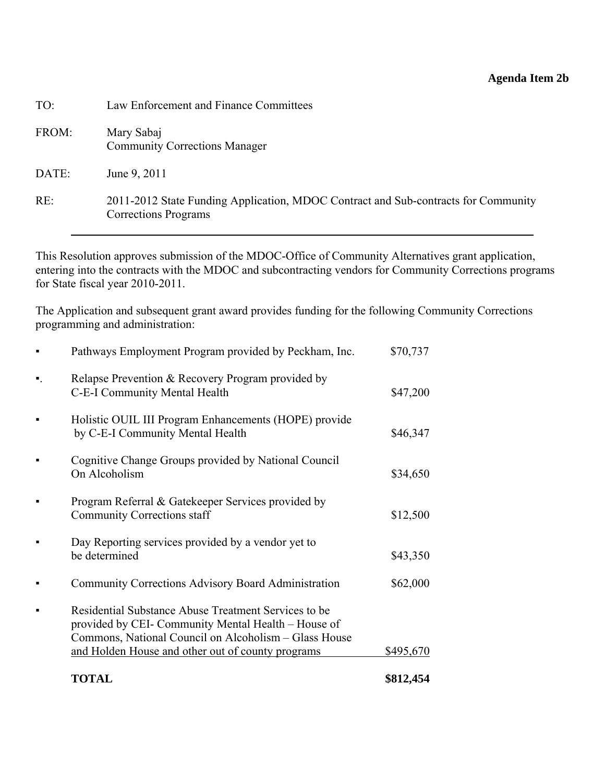# **Agenda Item 2b**

<span id="page-4-0"></span>

| TO:   | Law Enforcement and Finance Committees                                                                            |
|-------|-------------------------------------------------------------------------------------------------------------------|
| FROM: | Mary Sabaj<br><b>Community Corrections Manager</b>                                                                |
| DATE: | June 9, 2011                                                                                                      |
| RE:   | 2011-2012 State Funding Application, MDOC Contract and Sub-contracts for Community<br><b>Corrections Programs</b> |

This Resolution approves submission of the MDOC-Office of Community Alternatives grant application, entering into the contracts with the MDOC and subcontracting vendors for Community Corrections programs for State fiscal year 2010-2011.

The Application and subsequent grant award provides funding for the following Community Corrections programming and administration:

|                | <b>TOTAL</b>                                                                                                                                                                                                              | \$812,454 |
|----------------|---------------------------------------------------------------------------------------------------------------------------------------------------------------------------------------------------------------------------|-----------|
|                | Residential Substance Abuse Treatment Services to be<br>provided by CEI- Community Mental Health - House of<br>Commons, National Council on Alcoholism – Glass House<br>and Holden House and other out of county programs | \$495,670 |
|                | <b>Community Corrections Advisory Board Administration</b>                                                                                                                                                                | \$62,000  |
|                | Day Reporting services provided by a vendor yet to<br>be determined                                                                                                                                                       | \$43,350  |
|                | Program Referral & Gatekeeper Services provided by<br><b>Community Corrections staff</b>                                                                                                                                  | \$12,500  |
|                | Cognitive Change Groups provided by National Council<br>On Alcoholism                                                                                                                                                     | \$34,650  |
|                | Holistic OUIL III Program Enhancements (HOPE) provide<br>by C-E-I Community Mental Health                                                                                                                                 | \$46,347  |
| $\blacksquare$ | Relapse Prevention & Recovery Program provided by<br>C-E-I Community Mental Health                                                                                                                                        | \$47,200  |
|                | Pathways Employment Program provided by Peckham, Inc.                                                                                                                                                                     | \$70,737  |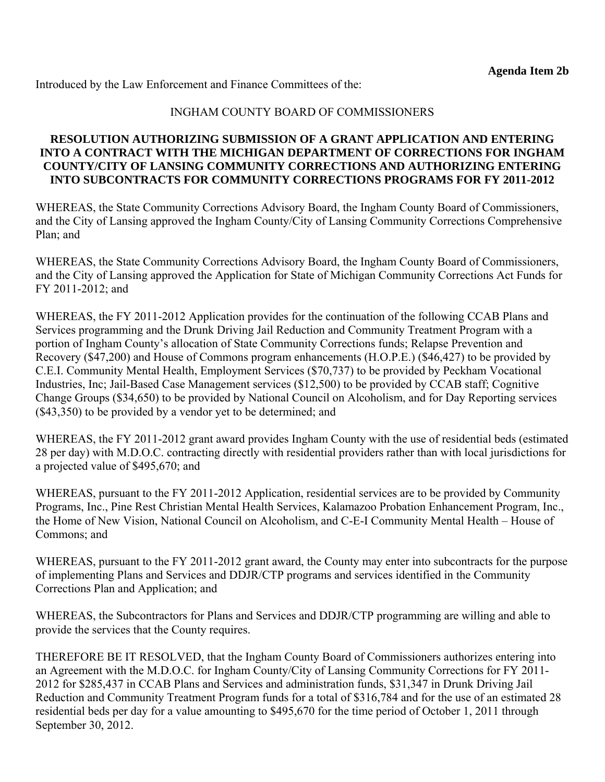Introduced by the Law Enforcement and Finance Committees of the:

# INGHAM COUNTY BOARD OF COMMISSIONERS

#### **RESOLUTION AUTHORIZING SUBMISSION OF A GRANT APPLICATION AND ENTERING INTO A CONTRACT WITH THE MICHIGAN DEPARTMENT OF CORRECTIONS FOR INGHAM COUNTY/CITY OF LANSING COMMUNITY CORRECTIONS AND AUTHORIZING ENTERING INTO SUBCONTRACTS FOR COMMUNITY CORRECTIONS PROGRAMS FOR FY 2011-2012**

WHEREAS, the State Community Corrections Advisory Board, the Ingham County Board of Commissioners, and the City of Lansing approved the Ingham County/City of Lansing Community Corrections Comprehensive Plan; and

WHEREAS, the State Community Corrections Advisory Board, the Ingham County Board of Commissioners, and the City of Lansing approved the Application for State of Michigan Community Corrections Act Funds for FY 2011-2012; and

WHEREAS, the FY 2011-2012 Application provides for the continuation of the following CCAB Plans and Services programming and the Drunk Driving Jail Reduction and Community Treatment Program with a portion of Ingham County's allocation of State Community Corrections funds; Relapse Prevention and Recovery (\$47,200) and House of Commons program enhancements (H.O.P.E.) (\$46,427) to be provided by C.E.I. Community Mental Health, Employment Services (\$70,737) to be provided by Peckham Vocational Industries, Inc; Jail-Based Case Management services (\$12,500) to be provided by CCAB staff; Cognitive Change Groups (\$34,650) to be provided by National Council on Alcoholism, and for Day Reporting services (\$43,350) to be provided by a vendor yet to be determined; and

WHEREAS, the FY 2011-2012 grant award provides Ingham County with the use of residential beds (estimated 28 per day) with M.D.O.C. contracting directly with residential providers rather than with local jurisdictions for a projected value of \$495,670; and

WHEREAS, pursuant to the FY 2011-2012 Application, residential services are to be provided by Community Programs, Inc., Pine Rest Christian Mental Health Services, Kalamazoo Probation Enhancement Program, Inc., the Home of New Vision, National Council on Alcoholism, and C-E-I Community Mental Health – House of Commons; and

WHEREAS, pursuant to the FY 2011-2012 grant award, the County may enter into subcontracts for the purpose of implementing Plans and Services and DDJR/CTP programs and services identified in the Community Corrections Plan and Application; and

WHEREAS, the Subcontractors for Plans and Services and DDJR/CTP programming are willing and able to provide the services that the County requires.

THEREFORE BE IT RESOLVED, that the Ingham County Board of Commissioners authorizes entering into an Agreement with the M.D.O.C. for Ingham County/City of Lansing Community Corrections for FY 2011- 2012 for \$285,437 in CCAB Plans and Services and administration funds, \$31,347 in Drunk Driving Jail Reduction and Community Treatment Program funds for a total of \$316,784 and for the use of an estimated 28 residential beds per day for a value amounting to \$495,670 for the time period of October 1, 2011 through September 30, 2012.